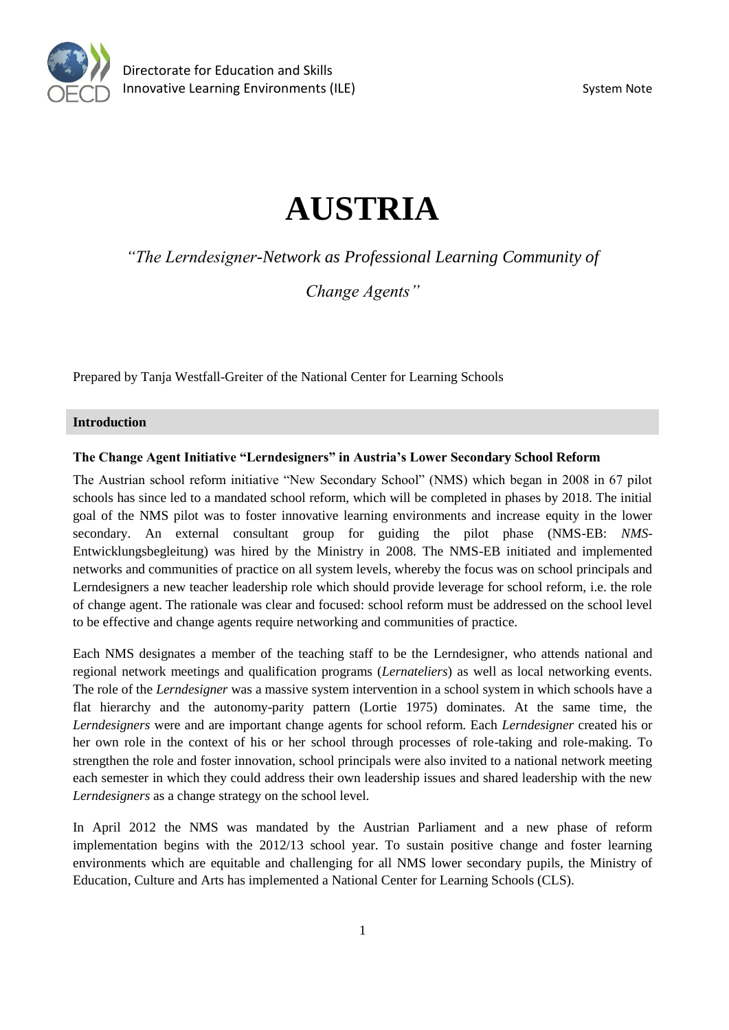

# **AUSTRIA**

*"The Lerndesigner-Network as Professional Learning Community of* 

*Change Agents"*

Prepared by Tanja Westfall-Greiter of the National Center for Learning Schools

## **Introduction**

# **The Change Agent Initiative "Lerndesigners" in Austria's Lower Secondary School Reform**

The Austrian school reform initiative "New Secondary School" (NMS) which began in 2008 in 67 pilot schools has since led to a mandated school reform, which will be completed in phases by 2018. The initial goal of the NMS pilot was to foster innovative learning environments and increase equity in the lower secondary. An external consultant group for guiding the pilot phase (NMS-EB: *NMS-*Entwicklungsbegleitung) was hired by the Ministry in 2008. The NMS-EB initiated and implemented networks and communities of practice on all system levels, whereby the focus was on school principals and Lerndesigners a new teacher leadership role which should provide leverage for school reform, i.e. the role of change agent. The rationale was clear and focused: school reform must be addressed on the school level to be effective and change agents require networking and communities of practice.

Each NMS designates a member of the teaching staff to be the Lerndesigner, who attends national and regional network meetings and qualification programs (*Lernateliers*) as well as local networking events. The role of the *Lerndesigner* was a massive system intervention in a school system in which schools have a flat hierarchy and the autonomy-parity pattern (Lortie 1975) dominates. At the same time, the *Lerndesigners* were and are important change agents for school reform. Each *Lerndesigner* created his or her own role in the context of his or her school through processes of role-taking and role-making. To strengthen the role and foster innovation, school principals were also invited to a national network meeting each semester in which they could address their own leadership issues and shared leadership with the new *Lerndesigners* as a change strategy on the school level.

In April 2012 the NMS was mandated by the Austrian Parliament and a new phase of reform implementation begins with the 2012/13 school year. To sustain positive change and foster learning environments which are equitable and challenging for all NMS lower secondary pupils, the Ministry of Education, Culture and Arts has implemented a National Center for Learning Schools (CLS).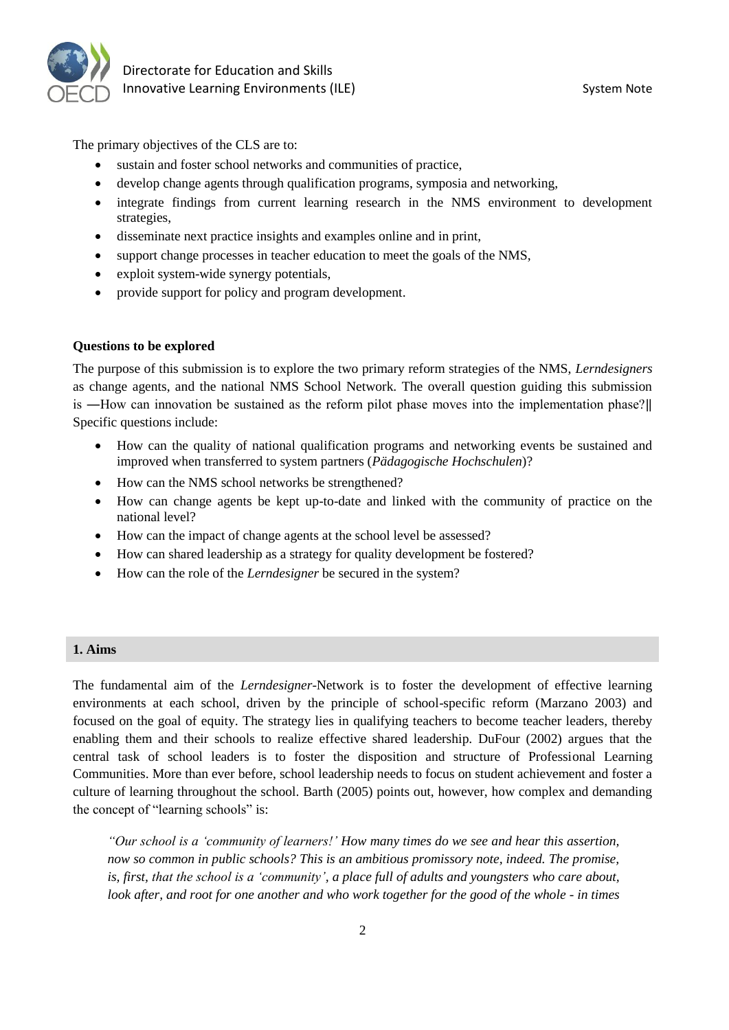

The primary objectives of the CLS are to:

- sustain and foster school networks and communities of practice,
- develop change agents through qualification programs, symposia and networking,
- integrate findings from current learning research in the NMS environment to development strategies,
- disseminate next practice insights and examples online and in print,
- support change processes in teacher education to meet the goals of the NMS,
- exploit system-wide synergy potentials,
- provide support for policy and program development.

# **Questions to be explored**

The purpose of this submission is to explore the two primary reform strategies of the NMS, *Lerndesigners*  as change agents, and the national NMS School Network. The overall question guiding this submission is ―How can innovation be sustained as the reform pilot phase moves into the implementation phase?‖ Specific questions include:

- How can the quality of national qualification programs and networking events be sustained and improved when transferred to system partners (*Pädagogische Hochschulen*)?
- How can the NMS school networks be strengthened?
- How can change agents be kept up-to-date and linked with the community of practice on the national level?
- How can the impact of change agents at the school level be assessed?
- How can shared leadership as a strategy for quality development be fostered?
- How can the role of the *Lerndesigner* be secured in the system?

#### **1. Aims**

The fundamental aim of the *Lerndesigner*-Network is to foster the development of effective learning environments at each school, driven by the principle of school-specific reform (Marzano 2003) and focused on the goal of equity. The strategy lies in qualifying teachers to become teacher leaders, thereby enabling them and their schools to realize effective shared leadership. DuFour (2002) argues that the central task of school leaders is to foster the disposition and structure of Professional Learning Communities. More than ever before, school leadership needs to focus on student achievement and foster a culture of learning throughout the school. Barth (2005) points out, however, how complex and demanding the concept of "learning schools" is:

*"Our school is a 'community of learners!' How many times do we see and hear this assertion, now so common in public schools? This is an ambitious promissory note, indeed. The promise, is, first, that the school is a 'community', a place full of adults and youngsters who care about, look after, and root for one another and who work together for the good of the whole - in times*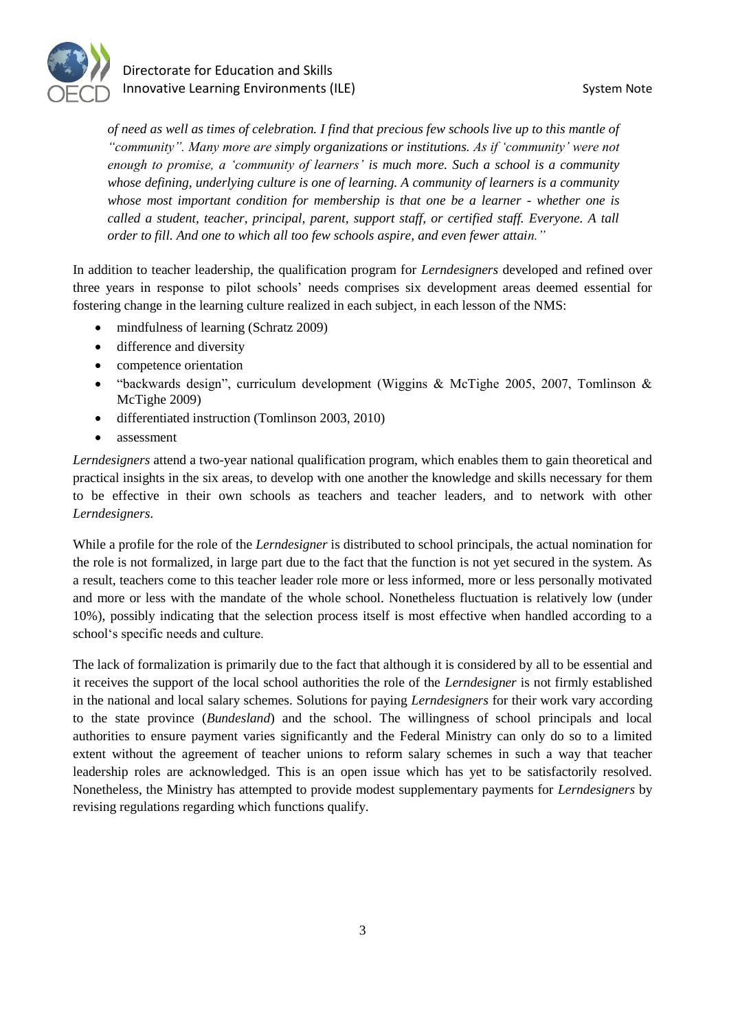

*of need as well as times of celebration. I find that precious few schools live up to this mantle of "community". Many more are simply organizations or institutions. As if 'community' were not enough to promise, a 'community of learners' is much more. Such a school is a community whose defining, underlying culture is one of learning. A community of learners is a community whose most important condition for membership is that one be a learner - whether one is called a student, teacher, principal, parent, support staff, or certified staff. Everyone. A tall order to fill. And one to which all too few schools aspire, and even fewer attain."*

In addition to teacher leadership, the qualification program for *Lerndesigners* developed and refined over three years in response to pilot schools' needs comprises six development areas deemed essential for fostering change in the learning culture realized in each subject, in each lesson of the NMS:

- mindfulness of learning (Schratz 2009)
- difference and diversity
- competence orientation
- "backwards design", curriculum development (Wiggins & McTighe 2005, 2007, Tomlinson & McTighe 2009)
- differentiated instruction (Tomlinson 2003, 2010)
- assessment

*Lerndesigners* attend a two-year national qualification program, which enables them to gain theoretical and practical insights in the six areas, to develop with one another the knowledge and skills necessary for them to be effective in their own schools as teachers and teacher leaders, and to network with other *Lerndesigners*.

While a profile for the role of the *Lerndesigner* is distributed to school principals, the actual nomination for the role is not formalized, in large part due to the fact that the function is not yet secured in the system. As a result, teachers come to this teacher leader role more or less informed, more or less personally motivated and more or less with the mandate of the whole school. Nonetheless fluctuation is relatively low (under 10%), possibly indicating that the selection process itself is most effective when handled according to a school's specific needs and culture.

The lack of formalization is primarily due to the fact that although it is considered by all to be essential and it receives the support of the local school authorities the role of the *Lerndesigner* is not firmly established in the national and local salary schemes. Solutions for paying *Lerndesigners* for their work vary according to the state province (*Bundesland*) and the school. The willingness of school principals and local authorities to ensure payment varies significantly and the Federal Ministry can only do so to a limited extent without the agreement of teacher unions to reform salary schemes in such a way that teacher leadership roles are acknowledged. This is an open issue which has yet to be satisfactorily resolved. Nonetheless, the Ministry has attempted to provide modest supplementary payments for *Lerndesigners* by revising regulations regarding which functions qualify.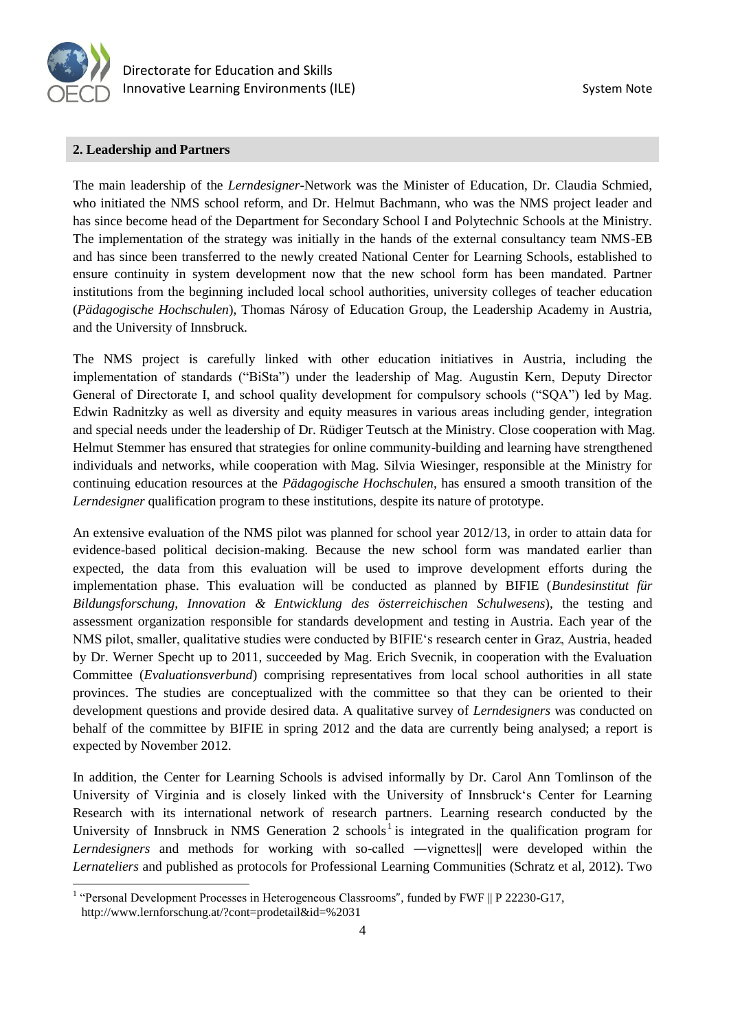

## **2. Leadership and Partners**

The main leadership of the *Lerndesigner*-Network was the Minister of Education, Dr. Claudia Schmied, who initiated the NMS school reform, and Dr. Helmut Bachmann, who was the NMS project leader and has since become head of the Department for Secondary School I and Polytechnic Schools at the Ministry. The implementation of the strategy was initially in the hands of the external consultancy team NMS-EB and has since been transferred to the newly created National Center for Learning Schools, established to ensure continuity in system development now that the new school form has been mandated. Partner institutions from the beginning included local school authorities, university colleges of teacher education (*Pädagogische Hochschulen*), Thomas Nárosy of Education Group, the Leadership Academy in Austria, and the University of Innsbruck.

The NMS project is carefully linked with other education initiatives in Austria, including the implementation of standards ("BiSta") under the leadership of Mag. Augustin Kern, Deputy Director General of Directorate I, and school quality development for compulsory schools ("SQA") led by Mag. Edwin Radnitzky as well as diversity and equity measures in various areas including gender, integration and special needs under the leadership of Dr. Rüdiger Teutsch at the Ministry. Close cooperation with Mag. Helmut Stemmer has ensured that strategies for online community-building and learning have strengthened individuals and networks, while cooperation with Mag. Silvia Wiesinger, responsible at the Ministry for continuing education resources at the *Pädagogische Hochschulen*, has ensured a smooth transition of the *Lerndesigner* qualification program to these institutions, despite its nature of prototype.

An extensive evaluation of the NMS pilot was planned for school year 2012/13, in order to attain data for evidence-based political decision-making. Because the new school form was mandated earlier than expected, the data from this evaluation will be used to improve development efforts during the implementation phase. This evaluation will be conducted as planned by BIFIE (*Bundesinstitut für Bildungsforschung, Innovation & Entwicklung des österreichischen Schulwesens*), the testing and assessment organization responsible for standards development and testing in Austria. Each year of the NMS pilot, smaller, qualitative studies were conducted by BIFIE's research center in Graz, Austria, headed by Dr. Werner Specht up to 2011, succeeded by Mag. Erich Svecnik, in cooperation with the Evaluation Committee (*Evaluationsverbund*) comprising representatives from local school authorities in all state provinces. The studies are conceptualized with the committee so that they can be oriented to their development questions and provide desired data. A qualitative survey of *Lerndesigners* was conducted on behalf of the committee by BIFIE in spring 2012 and the data are currently being analysed; a report is expected by November 2012.

In addition, the Center for Learning Schools is advised informally by Dr. Carol Ann Tomlinson of the University of Virginia and is closely linked with the University of Innsbruck's Center for Learning Research with its international network of research partners. Learning research conducted by the University of Innsbruck in NMS Generation  $2$  schools<sup>1</sup> is integrated in the qualification program for *Lerndesigners* and methods for working with so-called ―vignettes‖ were developed within the *Lernateliers* and published as protocols for Professional Learning Communities (Schratz et al, 2012). Two

 1 "Personal Development Processes in Heterogeneous Classrooms", funded by FWF || P 22230-G17, http://www.lernforschung.at/?cont=prodetail&id=%2031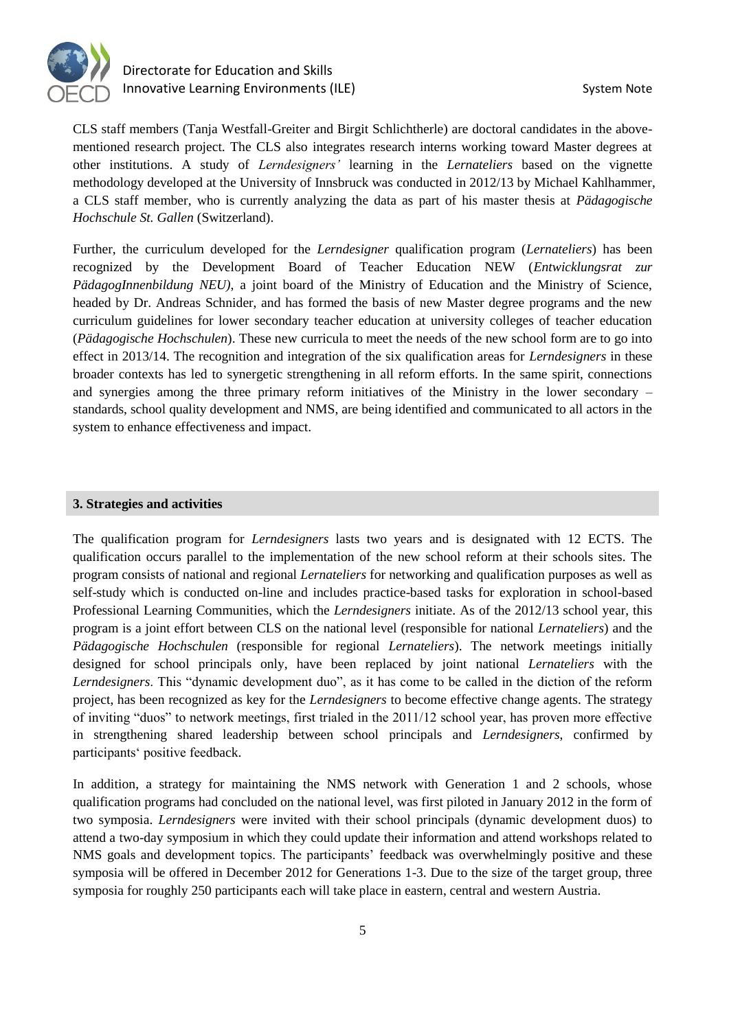

CLS staff members (Tanja Westfall-Greiter and Birgit Schlichtherle) are doctoral candidates in the abovementioned research project. The CLS also integrates research interns working toward Master degrees at other institutions. A study of *Lerndesigners'* learning in the *Lernateliers* based on the vignette methodology developed at the University of Innsbruck was conducted in 2012/13 by Michael Kahlhammer, a CLS staff member, who is currently analyzing the data as part of his master thesis at *Pädagogische Hochschule St. Gallen* (Switzerland).

Further, the curriculum developed for the *Lerndesigner* qualification program (*Lernateliers*) has been recognized by the Development Board of Teacher Education NEW (*Entwicklungsrat zur PädagogInnenbildung NEU)*, a joint board of the Ministry of Education and the Ministry of Science, headed by Dr. Andreas Schnider, and has formed the basis of new Master degree programs and the new curriculum guidelines for lower secondary teacher education at university colleges of teacher education (*Pädagogische Hochschulen*). These new curricula to meet the needs of the new school form are to go into effect in 2013/14. The recognition and integration of the six qualification areas for *Lerndesigners* in these broader contexts has led to synergetic strengthening in all reform efforts. In the same spirit, connections and synergies among the three primary reform initiatives of the Ministry in the lower secondary – standards, school quality development and NMS, are being identified and communicated to all actors in the system to enhance effectiveness and impact.

#### **3. Strategies and activities**

The qualification program for *Lerndesigners* lasts two years and is designated with 12 ECTS. The qualification occurs parallel to the implementation of the new school reform at their schools sites. The program consists of national and regional *Lernateliers* for networking and qualification purposes as well as self-study which is conducted on-line and includes practice-based tasks for exploration in school-based Professional Learning Communities, which the *Lerndesigners* initiate. As of the 2012/13 school year, this program is a joint effort between CLS on the national level (responsible for national *Lernateliers*) and the *Pädagogische Hochschulen* (responsible for regional *Lernateliers*). The network meetings initially designed for school principals only, have been replaced by joint national *Lernateliers* with the *Lerndesigners*. This "dynamic development duo", as it has come to be called in the diction of the reform project, has been recognized as key for the *Lerndesigners* to become effective change agents. The strategy of inviting "duos" to network meetings, first trialed in the 2011/12 school year, has proven more effective in strengthening shared leadership between school principals and *Lerndesigners*, confirmed by participants' positive feedback.

In addition, a strategy for maintaining the NMS network with Generation 1 and 2 schools, whose qualification programs had concluded on the national level, was first piloted in January 2012 in the form of two symposia. *Lerndesigners* were invited with their school principals (dynamic development duos) to attend a two-day symposium in which they could update their information and attend workshops related to NMS goals and development topics. The participants' feedback was overwhelmingly positive and these symposia will be offered in December 2012 for Generations 1-3. Due to the size of the target group, three symposia for roughly 250 participants each will take place in eastern, central and western Austria.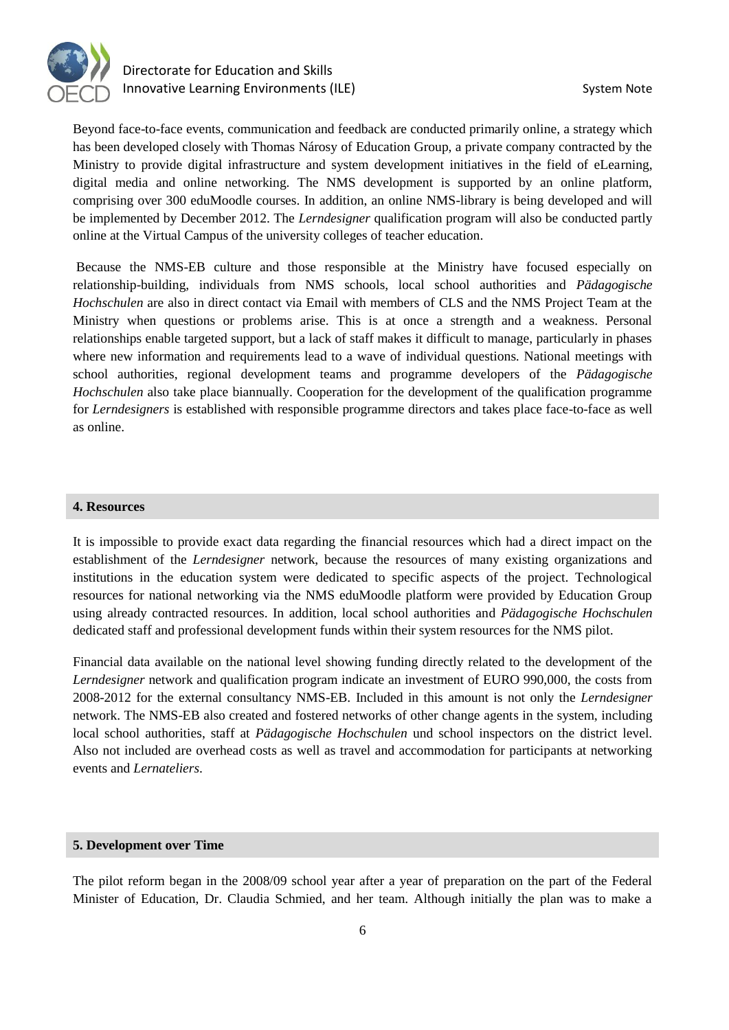

Beyond face-to-face events, communication and feedback are conducted primarily online, a strategy which has been developed closely with Thomas Nárosy of Education Group, a private company contracted by the Ministry to provide digital infrastructure and system development initiatives in the field of eLearning, digital media and online networking. The NMS development is supported by an online platform, comprising over 300 eduMoodle courses. In addition, an online NMS-library is being developed and will be implemented by December 2012. The *Lerndesigner* qualification program will also be conducted partly online at the Virtual Campus of the university colleges of teacher education.

Because the NMS-EB culture and those responsible at the Ministry have focused especially on relationship-building, individuals from NMS schools, local school authorities and *Pädagogische Hochschulen* are also in direct contact via Email with members of CLS and the NMS Project Team at the Ministry when questions or problems arise. This is at once a strength and a weakness. Personal relationships enable targeted support, but a lack of staff makes it difficult to manage, particularly in phases where new information and requirements lead to a wave of individual questions. National meetings with school authorities, regional development teams and programme developers of the *Pädagogische Hochschulen* also take place biannually. Cooperation for the development of the qualification programme for *Lerndesigners* is established with responsible programme directors and takes place face-to-face as well as online.

#### **4. Resources**

It is impossible to provide exact data regarding the financial resources which had a direct impact on the establishment of the *Lerndesigner* network, because the resources of many existing organizations and institutions in the education system were dedicated to specific aspects of the project. Technological resources for national networking via the NMS eduMoodle platform were provided by Education Group using already contracted resources. In addition, local school authorities and *Pädagogische Hochschulen*  dedicated staff and professional development funds within their system resources for the NMS pilot.

Financial data available on the national level showing funding directly related to the development of the *Lerndesigner* network and qualification program indicate an investment of EURO 990,000, the costs from 2008-2012 for the external consultancy NMS-EB. Included in this amount is not only the *Lerndesigner*  network. The NMS-EB also created and fostered networks of other change agents in the system, including local school authorities, staff at *Pädagogische Hochschulen* und school inspectors on the district level. Also not included are overhead costs as well as travel and accommodation for participants at networking events and *Lernateliers*.

#### **5. Development over Time**

The pilot reform began in the 2008/09 school year after a year of preparation on the part of the Federal Minister of Education, Dr. Claudia Schmied, and her team. Although initially the plan was to make a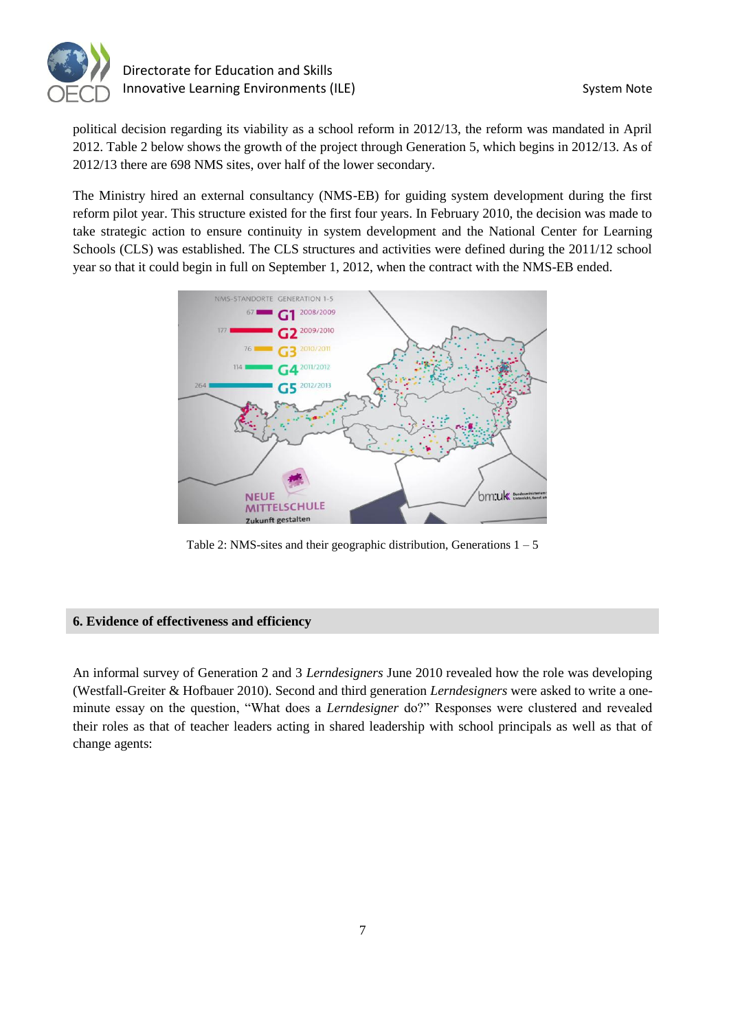

political decision regarding its viability as a school reform in 2012/13, the reform was mandated in April 2012. Table 2 below shows the growth of the project through Generation 5, which begins in 2012/13. As of 2012/13 there are 698 NMS sites, over half of the lower secondary.

The Ministry hired an external consultancy (NMS-EB) for guiding system development during the first reform pilot year. This structure existed for the first four years. In February 2010, the decision was made to take strategic action to ensure continuity in system development and the National Center for Learning Schools (CLS) was established. The CLS structures and activities were defined during the 2011/12 school year so that it could begin in full on September 1, 2012, when the contract with the NMS-EB ended.



Table 2: NMS-sites and their geographic distribution, Generations  $1 - 5$ 

#### **6. Evidence of effectiveness and efficiency**

An informal survey of Generation 2 and 3 *Lerndesigners* June 2010 revealed how the role was developing (Westfall-Greiter & Hofbauer 2010). Second and third generation *Lerndesigners* were asked to write a oneminute essay on the question, "What does a *Lerndesigner* do?" Responses were clustered and revealed their roles as that of teacher leaders acting in shared leadership with school principals as well as that of change agents: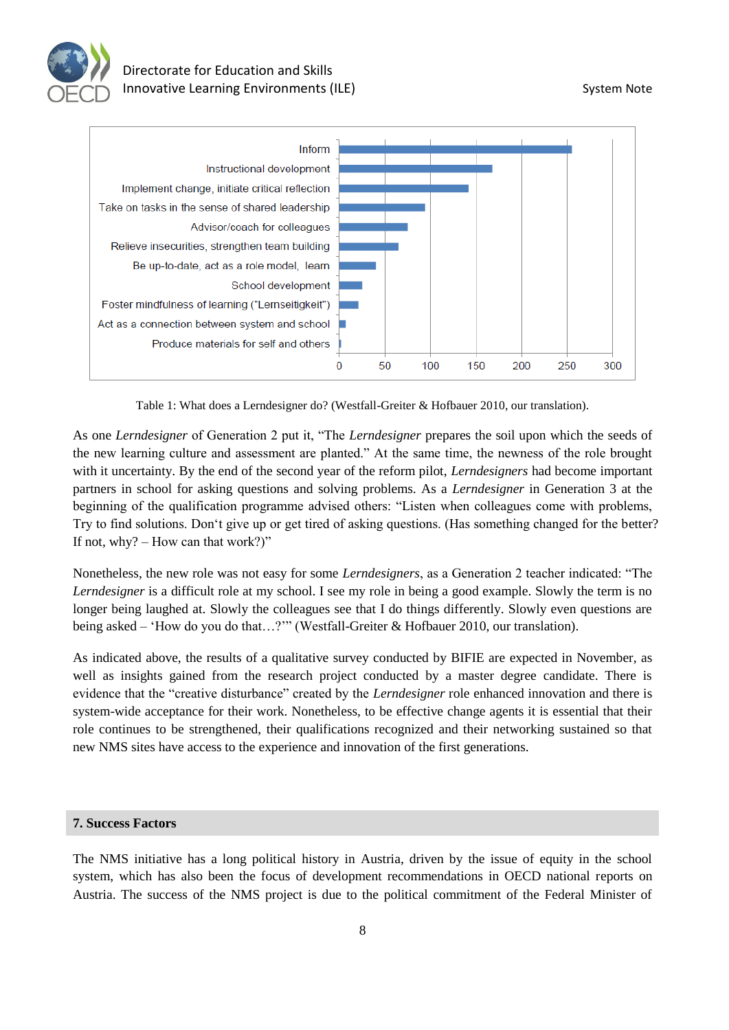



Table 1: What does a Lerndesigner do? (Westfall-Greiter & Hofbauer 2010, our translation).

As one *Lerndesigner* of Generation 2 put it, "The *Lerndesigner* prepares the soil upon which the seeds of the new learning culture and assessment are planted." At the same time, the newness of the role brought with it uncertainty. By the end of the second year of the reform pilot, *Lerndesigners* had become important partners in school for asking questions and solving problems. As a *Lerndesigner* in Generation 3 at the beginning of the qualification programme advised others: "Listen when colleagues come with problems, Try to find solutions. Don't give up or get tired of asking questions. (Has something changed for the better? If not,  $why$ ? – How can that work?)"

Nonetheless, the new role was not easy for some *Lerndesigners*, as a Generation 2 teacher indicated: "The *Lerndesigner* is a difficult role at my school. I see my role in being a good example. Slowly the term is no longer being laughed at. Slowly the colleagues see that I do things differently. Slowly even questions are being asked – 'How do you do that...?'" (Westfall-Greiter & Hofbauer 2010, our translation).

As indicated above, the results of a qualitative survey conducted by BIFIE are expected in November, as well as insights gained from the research project conducted by a master degree candidate. There is evidence that the "creative disturbance" created by the *Lerndesigner* role enhanced innovation and there is system-wide acceptance for their work. Nonetheless, to be effective change agents it is essential that their role continues to be strengthened, their qualifications recognized and their networking sustained so that new NMS sites have access to the experience and innovation of the first generations.

#### **7. Success Factors**

The NMS initiative has a long political history in Austria, driven by the issue of equity in the school system, which has also been the focus of development recommendations in OECD national reports on Austria. The success of the NMS project is due to the political commitment of the Federal Minister of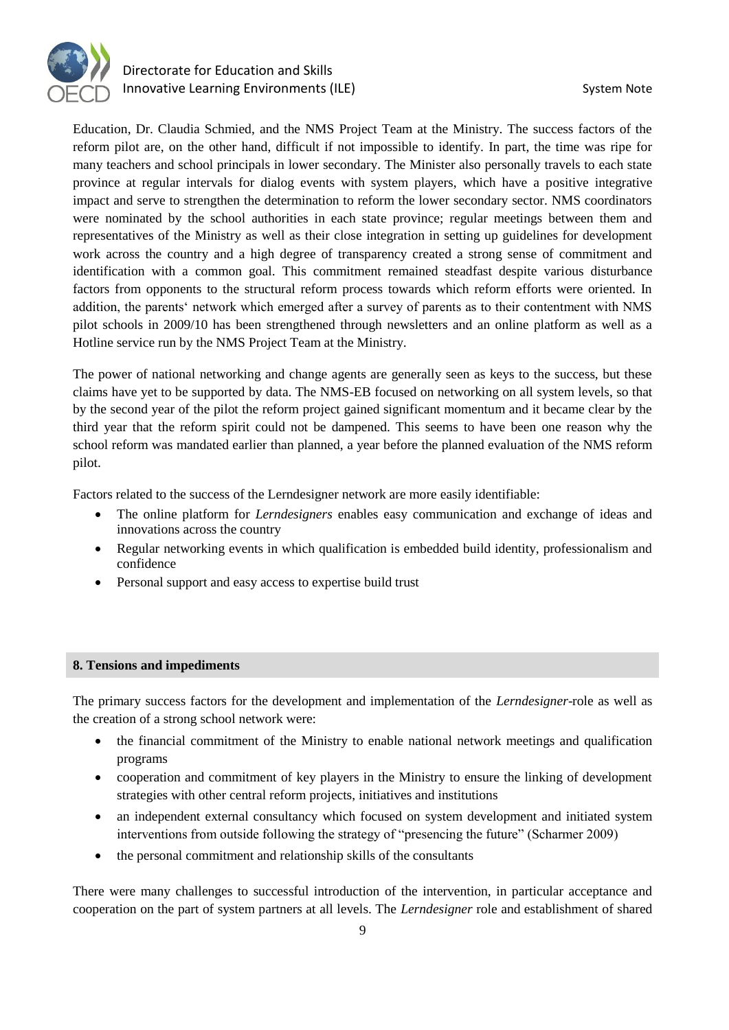

Education, Dr. Claudia Schmied, and the NMS Project Team at the Ministry. The success factors of the reform pilot are, on the other hand, difficult if not impossible to identify. In part, the time was ripe for many teachers and school principals in lower secondary. The Minister also personally travels to each state province at regular intervals for dialog events with system players, which have a positive integrative impact and serve to strengthen the determination to reform the lower secondary sector. NMS coordinators were nominated by the school authorities in each state province; regular meetings between them and representatives of the Ministry as well as their close integration in setting up guidelines for development work across the country and a high degree of transparency created a strong sense of commitment and identification with a common goal. This commitment remained steadfast despite various disturbance factors from opponents to the structural reform process towards which reform efforts were oriented. In addition, the parents' network which emerged after a survey of parents as to their contentment with NMS pilot schools in 2009/10 has been strengthened through newsletters and an online platform as well as a Hotline service run by the NMS Project Team at the Ministry.

The power of national networking and change agents are generally seen as keys to the success, but these claims have yet to be supported by data. The NMS-EB focused on networking on all system levels, so that by the second year of the pilot the reform project gained significant momentum and it became clear by the third year that the reform spirit could not be dampened. This seems to have been one reason why the school reform was mandated earlier than planned, a year before the planned evaluation of the NMS reform pilot.

Factors related to the success of the Lerndesigner network are more easily identifiable:

- The online platform for *Lerndesigners* enables easy communication and exchange of ideas and innovations across the country
- Regular networking events in which qualification is embedded build identity, professionalism and confidence
- Personal support and easy access to expertise build trust

#### **8. Tensions and impediments**

The primary success factors for the development and implementation of the *Lerndesigner*-role as well as the creation of a strong school network were:

- the financial commitment of the Ministry to enable national network meetings and qualification programs
- cooperation and commitment of key players in the Ministry to ensure the linking of development strategies with other central reform projects, initiatives and institutions
- an independent external consultancy which focused on system development and initiated system interventions from outside following the strategy of "presencing the future" (Scharmer 2009)
- the personal commitment and relationship skills of the consultants

There were many challenges to successful introduction of the intervention, in particular acceptance and cooperation on the part of system partners at all levels. The *Lerndesigner* role and establishment of shared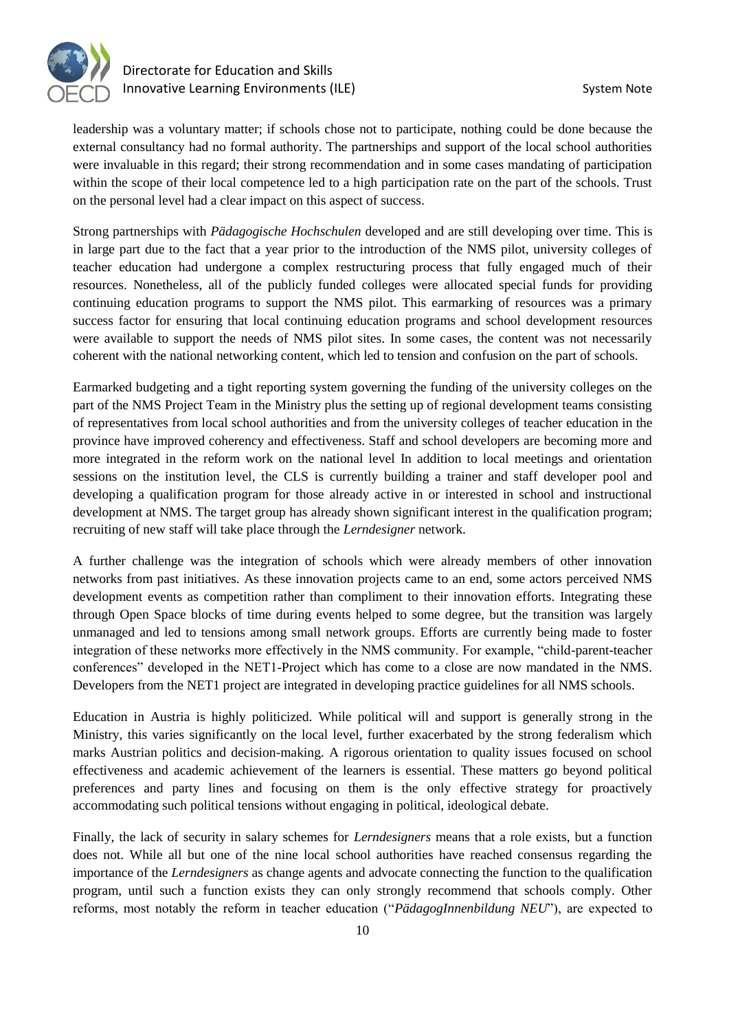

leadership was a voluntary matter; if schools chose not to participate, nothing could be done because the external consultancy had no formal authority. The partnerships and support of the local school authorities were invaluable in this regard; their strong recommendation and in some cases mandating of participation within the scope of their local competence led to a high participation rate on the part of the schools. Trust on the personal level had a clear impact on this aspect of success.

Strong partnerships with *Pädagogische Hochschulen* developed and are still developing over time. This is in large part due to the fact that a year prior to the introduction of the NMS pilot, university colleges of teacher education had undergone a complex restructuring process that fully engaged much of their resources. Nonetheless, all of the publicly funded colleges were allocated special funds for providing continuing education programs to support the NMS pilot. This earmarking of resources was a primary success factor for ensuring that local continuing education programs and school development resources were available to support the needs of NMS pilot sites. In some cases, the content was not necessarily coherent with the national networking content, which led to tension and confusion on the part of schools.

Earmarked budgeting and a tight reporting system governing the funding of the university colleges on the part of the NMS Project Team in the Ministry plus the setting up of regional development teams consisting of representatives from local school authorities and from the university colleges of teacher education in the province have improved coherency and effectiveness. Staff and school developers are becoming more and more integrated in the reform work on the national level In addition to local meetings and orientation sessions on the institution level, the CLS is currently building a trainer and staff developer pool and developing a qualification program for those already active in or interested in school and instructional development at NMS. The target group has already shown significant interest in the qualification program; recruiting of new staff will take place through the *Lerndesigner* network.

A further challenge was the integration of schools which were already members of other innovation networks from past initiatives. As these innovation projects came to an end, some actors perceived NMS development events as competition rather than compliment to their innovation efforts. Integrating these through Open Space blocks of time during events helped to some degree, but the transition was largely unmanaged and led to tensions among small network groups. Efforts are currently being made to foster integration of these networks more effectively in the NMS community. For example, "child-parent-teacher conferences" developed in the NET1-Project which has come to a close are now mandated in the NMS. Developers from the NET1 project are integrated in developing practice guidelines for all NMS schools.

Education in Austria is highly politicized. While political will and support is generally strong in the Ministry, this varies significantly on the local level, further exacerbated by the strong federalism which marks Austrian politics and decision-making. A rigorous orientation to quality issues focused on school effectiveness and academic achievement of the learners is essential. These matters go beyond political preferences and party lines and focusing on them is the only effective strategy for proactively accommodating such political tensions without engaging in political, ideological debate.

Finally, the lack of security in salary schemes for *Lerndesigners* means that a role exists, but a function does not. While all but one of the nine local school authorities have reached consensus regarding the importance of the *Lerndesigners* as change agents and advocate connecting the function to the qualification program, until such a function exists they can only strongly recommend that schools comply. Other reforms, most notably the reform in teacher education ("*PädagogInnenbildung NEU*"), are expected to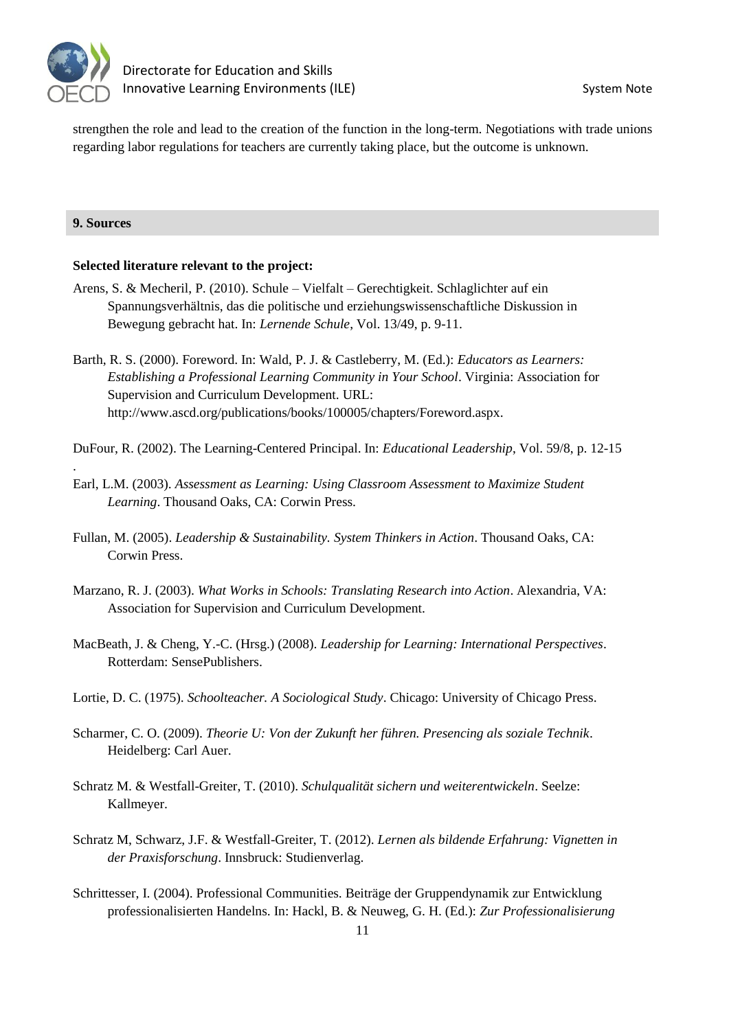

strengthen the role and lead to the creation of the function in the long-term. Negotiations with trade unions regarding labor regulations for teachers are currently taking place, but the outcome is unknown.

## **9. Sources**

.

#### **Selected literature relevant to the project:**

Arens, S. & Mecheril, P. (2010). Schule – Vielfalt – Gerechtigkeit. Schlaglichter auf ein Spannungsverhältnis, das die politische und erziehungswissenschaftliche Diskussion in Bewegung gebracht hat. In: *Lernende Schule*, Vol. 13/49, p. 9-11.

Barth, R. S. (2000). Foreword. In: Wald, P. J. & Castleberry, M. (Ed.): *Educators as Learners: Establishing a Professional Learning Community in Your School*. Virginia: Association for Supervision and Curriculum Development. URL: http://www.ascd.org/publications/books/100005/chapters/Foreword.aspx.

DuFour, R. (2002). The Learning-Centered Principal. In: *Educational Leadership*, Vol. 59/8, p. 12-15

- Earl, L.M. (2003). *Assessment as Learning: Using Classroom Assessment to Maximize Student Learning*. Thousand Oaks, CA: Corwin Press.
- Fullan, M. (2005). *Leadership & Sustainability. System Thinkers in Action*. Thousand Oaks, CA: Corwin Press.
- Marzano, R. J. (2003). *What Works in Schools: Translating Research into Action*. Alexandria, VA: Association for Supervision and Curriculum Development.
- MacBeath, J. & Cheng, Y.-C. (Hrsg.) (2008). *Leadership for Learning: International Perspectives*. Rotterdam: SensePublishers.
- Lortie, D. C. (1975). *Schoolteacher. A Sociological Study*. Chicago: University of Chicago Press.
- Scharmer, C. O. (2009). *Theorie U: Von der Zukunft her führen. Presencing als soziale Technik*. Heidelberg: Carl Auer.
- Schratz M. & Westfall-Greiter, T. (2010). *Schulqualität sichern und weiterentwickeln*. Seelze: Kallmeyer.
- Schratz M, Schwarz, J.F. & Westfall-Greiter, T. (2012). *Lernen als bildende Erfahrung: Vignetten in der Praxisforschung*. Innsbruck: Studienverlag.
- Schrittesser, I. (2004). Professional Communities. Beiträge der Gruppendynamik zur Entwicklung professionalisierten Handelns. In: Hackl, B. & Neuweg, G. H. (Ed.): *Zur Professionalisierung*